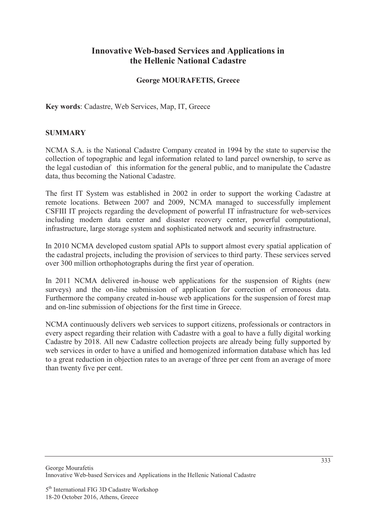# **Innovative Web-based Services and Applications in the Hellenic National Cadastre**

## **George MOURAFETIS, Greece**

**Key words**: Cadastre, Web Services, Map, IT, Greece

## **SUMMARY**

NCMA S.A. is the National Cadastre Company created in 1994 by the state to supervise the collection of topographic and legal information related to land parcel ownership, to serve as the legal custodian of this information for the general public, and to manipulate the Cadastre data, thus becoming the National Cadastre.

The first IT System was established in 2002 in order to support the working Cadastre at remote locations. Between 2007 and 2009, NCMA managed to successfully implement CSFIII IT projects regarding the development of powerful IT infrastructure for web-services including modern data center and disaster recovery center, powerful computational, infrastructure, large storage system and sophisticated network and security infrastructure.

In 2010 NCMA developed custom spatial APIs to support almost every spatial application of the cadastral projects, including the provision of services to third party. These services served over 300 million orthophotographs during the first year of operation.

In 2011 NCMA delivered in-house web applications for the suspension of Rights (new surveys) and the on-line submission of application for correction of erroneous data. Furthermore the company created in-house web applications for the suspension of forest map and on-line submission of objections for the first time in Greece.

NCMA continuously delivers web services to support citizens, professionals or contractors in every aspect regarding their relation with Cadastre with a goal to have a fully digital working Cadastre by 2018. All new Cadastre collection projects are already being fully supported by web services in order to have a unified and homogenized information database which has led to a great reduction in objection rates to an average of three per cent from an average of more than twenty five per cent.